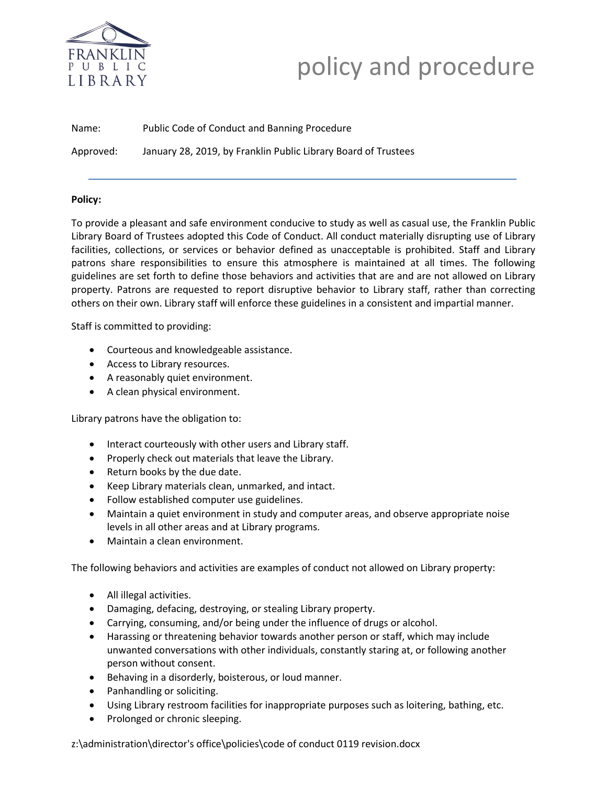

# PUBLIC<br>EIBRARY **policy and procedure**

Name: Public Code of Conduct and Banning Procedure Approved: January 28, 2019, by Franklin Public Library Board of Trustees

## **Policy:**

To provide a pleasant and safe environment conducive to study as well as casual use, the Franklin Public Library Board of Trustees adopted this Code of Conduct. All conduct materially disrupting use of Library facilities, collections, or services or behavior defined as unacceptable is prohibited. Staff and Library patrons share responsibilities to ensure this atmosphere is maintained at all times. The following guidelines are set forth to define those behaviors and activities that are and are not allowed on Library property. Patrons are requested to report disruptive behavior to Library staff, rather than correcting others on their own. Library staff will enforce these guidelines in a consistent and impartial manner.

Staff is committed to providing:

- Courteous and knowledgeable assistance.
- Access to Library resources.
- A reasonably quiet environment.
- A clean physical environment.

Library patrons have the obligation to:

- Interact courteously with other users and Library staff.
- Properly check out materials that leave the Library.
- Return books by the due date.
- Keep Library materials clean, unmarked, and intact.
- Follow established computer use guidelines.
- Maintain a quiet environment in study and computer areas, and observe appropriate noise levels in all other areas and at Library programs.
- Maintain a clean environment.

The following behaviors and activities are examples of conduct not allowed on Library property:

- All illegal activities.
- Damaging, defacing, destroying, or stealing Library property.
- Carrying, consuming, and/or being under the influence of drugs or alcohol.
- Harassing or threatening behavior towards another person or staff, which may include unwanted conversations with other individuals, constantly staring at, or following another person without consent.
- Behaving in a disorderly, boisterous, or loud manner.
- Panhandling or soliciting.
- Using Library restroom facilities for inappropriate purposes such as loitering, bathing, etc.
- Prolonged or chronic sleeping.

z:\administration\director's office\policies\code of conduct 0119 revision.docx